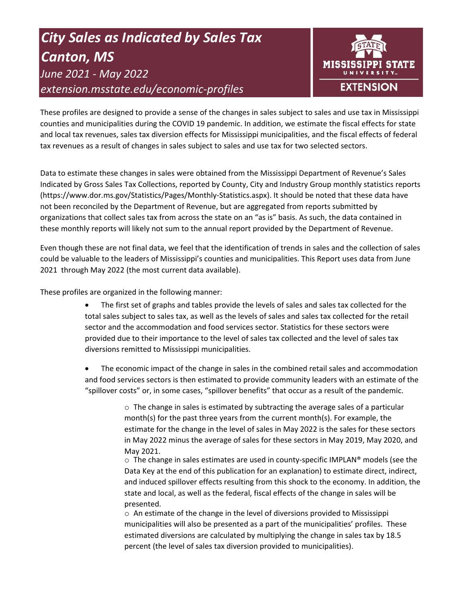# *City Sales as Indicated by Sales Tax Canton, MS June 2021 - May 2022 extension.msstate.edu/economic-profiles*



These profiles are designed to provide a sense of the changes in sales subject to sales and use tax in Mississippi counties and municipalities during the COVID 19 pandemic. In addition, we estimate the fiscal effects for state and local tax revenues, sales tax diversion effects for Mississippi municipalities, and the fiscal effects of federal tax revenues as a result of changes in sales subject to sales and use tax for two selected sectors.

Data to estimate these changes in sales were obtained from the Mississippi Department of Revenue's Sales Indicated by Gross Sales Tax Collections, reported by County, City and Industry Group monthly statistics reports (https://www.dor.ms.gov/Statistics/Pages/Monthly-Statistics.aspx). It should be noted that these data have not been reconciled by the Department of Revenue, but are aggregated from reports submitted by organizations that collect sales tax from across the state on an "as is" basis. As such, the data contained in these monthly reports will likely not sum to the annual report provided by the Department of Revenue.

Even though these are not final data, we feel that the identification of trends in sales and the collection of sales could be valuable to the leaders of Mississippi's counties and municipalities. This Report uses data from June 2021 through May 2022 (the most current data available).

These profiles are organized in the following manner:

- The first set of graphs and tables provide the levels of sales and sales tax collected for the total sales subject to sales tax, as well as the levels of sales and sales tax collected for the retail sector and the accommodation and food services sector. Statistics for these sectors were provided due to their importance to the level of sales tax collected and the level of sales tax diversions remitted to Mississippi municipalities.
- The economic impact of the change in sales in the combined retail sales and accommodation and food services sectors is then estimated to provide community leaders with an estimate of the "spillover costs" or, in some cases, "spillover benefits" that occur as a result of the pandemic.

 $\circ$  The change in sales is estimated by subtracting the average sales of a particular month(s) for the past three years from the current month(s). For example, the estimate for the change in the level of sales in May 2022 is the sales for these sectors in May 2022 minus the average of sales for these sectors in May 2019, May 2020, and May 2021.

 $\circ$  The change in sales estimates are used in county-specific IMPLAN® models (see the Data Key at the end of this publication for an explanation) to estimate direct, indirect, and induced spillover effects resulting from this shock to the economy. In addition, the state and local, as well as the federal, fiscal effects of the change in sales will be presented.

 $\circ$  An estimate of the change in the level of diversions provided to Mississippi municipalities will also be presented as a part of the municipalities' profiles. These estimated diversions are calculated by multiplying the change in sales tax by 18.5 percent (the level of sales tax diversion provided to municipalities).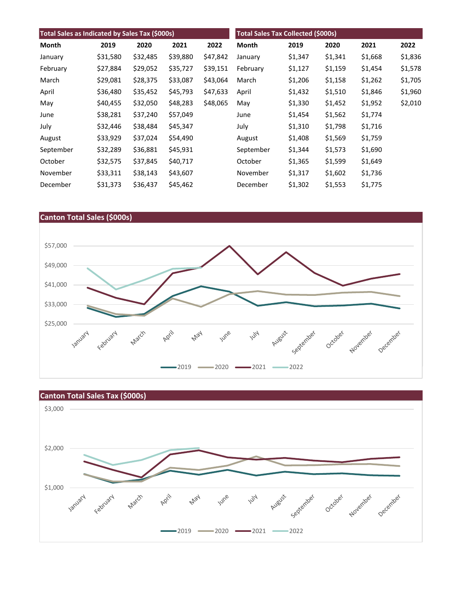| Total Sales as Indicated by Sales Tax (\$000s) |          |          |          | <b>Total Sales Tax Collected (\$000s)</b> |           |         |         |         |         |
|------------------------------------------------|----------|----------|----------|-------------------------------------------|-----------|---------|---------|---------|---------|
| <b>Month</b>                                   | 2019     | 2020     | 2021     | 2022                                      | Month     | 2019    | 2020    | 2021    | 2022    |
| January                                        | \$31,580 | \$32,485 | \$39,880 | \$47,842                                  | January   | \$1,347 | \$1,341 | \$1,668 | \$1,836 |
| February                                       | \$27,884 | \$29,052 | \$35,727 | \$39,151                                  | February  | \$1,127 | \$1,159 | \$1,454 | \$1,578 |
| March                                          | \$29,081 | \$28,375 | \$33,087 | \$43,064                                  | March     | \$1,206 | \$1,158 | \$1,262 | \$1,705 |
| April                                          | \$36,480 | \$35,452 | \$45,793 | \$47,633                                  | April     | \$1,432 | \$1,510 | \$1,846 | \$1,960 |
| May                                            | \$40,455 | \$32,050 | \$48,283 | \$48,065                                  | May       | \$1,330 | \$1,452 | \$1,952 | \$2,010 |
| June                                           | \$38,281 | \$37,240 | \$57,049 |                                           | June      | \$1,454 | \$1,562 | \$1,774 |         |
| July                                           | \$32,446 | \$38,484 | \$45,347 |                                           | July      | \$1,310 | \$1,798 | \$1,716 |         |
| August                                         | \$33,929 | \$37,024 | \$54,490 |                                           | August    | \$1,408 | \$1,569 | \$1,759 |         |
| September                                      | \$32,289 | \$36,881 | \$45,931 |                                           | September | \$1,344 | \$1,573 | \$1,690 |         |
| October                                        | \$32,575 | \$37,845 | \$40,717 |                                           | October   | \$1,365 | \$1,599 | \$1,649 |         |
| November                                       | \$33,311 | \$38,143 | \$43,607 |                                           | November  | \$1,317 | \$1,602 | \$1,736 |         |
| December                                       | \$31,373 | \$36,437 | \$45,462 |                                           | December  | \$1,302 | \$1,553 | \$1,775 |         |





## **Canton Total Sales Tax (\$000s)**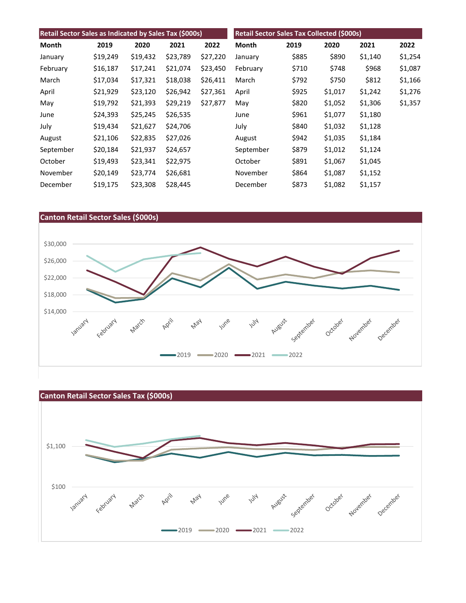| Retail Sector Sales as Indicated by Sales Tax (\$000s) |          |          |          | Retail Sector Sales Tax Collected (\$000s) |           |       |         |         |         |
|--------------------------------------------------------|----------|----------|----------|--------------------------------------------|-----------|-------|---------|---------|---------|
| Month                                                  | 2019     | 2020     | 2021     | 2022                                       | Month     | 2019  | 2020    | 2021    | 2022    |
| January                                                | \$19,249 | \$19,432 | \$23,789 | \$27,220                                   | January   | \$885 | \$890   | \$1,140 | \$1,254 |
| February                                               | \$16,187 | \$17,241 | \$21,074 | \$23,450                                   | February  | \$710 | \$748   | \$968   | \$1,087 |
| March                                                  | \$17,034 | \$17,321 | \$18,038 | \$26,411                                   | March     | \$792 | \$750   | \$812   | \$1,166 |
| April                                                  | \$21,929 | \$23,120 | \$26,942 | \$27,361                                   | April     | \$925 | \$1,017 | \$1,242 | \$1,276 |
| May                                                    | \$19,792 | \$21,393 | \$29,219 | \$27,877                                   | May       | \$820 | \$1,052 | \$1,306 | \$1,357 |
| June                                                   | \$24,393 | \$25,245 | \$26,535 |                                            | June      | \$961 | \$1,077 | \$1,180 |         |
| July                                                   | \$19,434 | \$21,627 | \$24,706 |                                            | July      | \$840 | \$1,032 | \$1,128 |         |
| August                                                 | \$21,106 | \$22,835 | \$27,026 |                                            | August    | \$942 | \$1,035 | \$1,184 |         |
| September                                              | \$20,184 | \$21,937 | \$24,657 |                                            | September | \$879 | \$1,012 | \$1,124 |         |
| October                                                | \$19,493 | \$23,341 | \$22,975 |                                            | October   | \$891 | \$1,067 | \$1,045 |         |
| November                                               | \$20,149 | \$23,774 | \$26,681 |                                            | November  | \$864 | \$1,087 | \$1,152 |         |
| December                                               | \$19,175 | \$23,308 | \$28,445 |                                            | December  | \$873 | \$1,082 | \$1,157 |         |



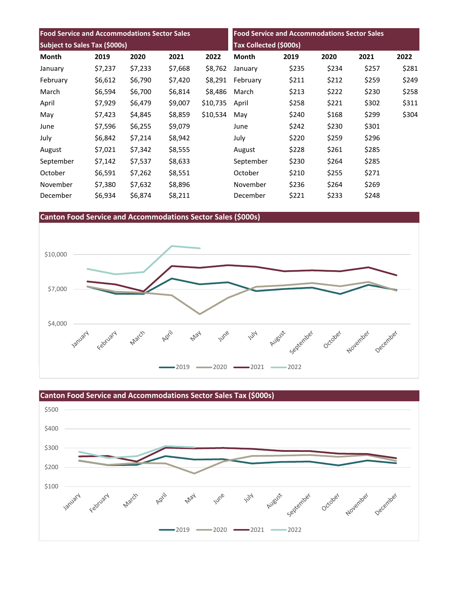| <b>Food Service and Accommodations Sector Sales</b> |         |         |         | <b>Food Service and Accommodations Sector Sales</b> |           |       |       |       |       |
|-----------------------------------------------------|---------|---------|---------|-----------------------------------------------------|-----------|-------|-------|-------|-------|
| Subject to Sales Tax (\$000s)                       |         |         |         | <b>Tax Collected (\$000s)</b>                       |           |       |       |       |       |
| Month                                               | 2019    | 2020    | 2021    | 2022                                                | Month     | 2019  | 2020  | 2021  | 2022  |
| January                                             | \$7,237 | \$7,233 | \$7,668 | \$8,762                                             | January   | \$235 | \$234 | \$257 | \$281 |
| February                                            | \$6,612 | \$6,790 | \$7,420 | \$8,291                                             | February  | \$211 | \$212 | \$259 | \$249 |
| March                                               | \$6,594 | \$6,700 | \$6,814 | \$8,486                                             | March     | \$213 | \$222 | \$230 | \$258 |
| April                                               | \$7,929 | \$6,479 | \$9,007 | \$10,735                                            | April     | \$258 | \$221 | \$302 | \$311 |
| May                                                 | \$7,423 | \$4,845 | \$8,859 | \$10,534                                            | May       | \$240 | \$168 | \$299 | \$304 |
| June                                                | \$7,596 | \$6,255 | \$9,079 |                                                     | June      | \$242 | \$230 | \$301 |       |
| July                                                | \$6,842 | \$7,214 | \$8,942 |                                                     | July      | \$220 | \$259 | \$296 |       |
| August                                              | \$7,021 | \$7,342 | \$8,555 |                                                     | August    | \$228 | \$261 | \$285 |       |
| September                                           | \$7,142 | \$7,537 | \$8,633 |                                                     | September | \$230 | \$264 | \$285 |       |
| October                                             | \$6,591 | \$7,262 | \$8,551 |                                                     | October   | \$210 | \$255 | \$271 |       |
| November                                            | \$7,380 | \$7,632 | \$8,896 |                                                     | November  | \$236 | \$264 | \$269 |       |
| December                                            | \$6,934 | \$6,874 | \$8,211 |                                                     | December  | \$221 | \$233 | \$248 |       |

**Canton Food Service and Accommodations Sector Sales (\$000s)**





**Canton Food Service and Accommodations Sector Sales Tax (\$000s)**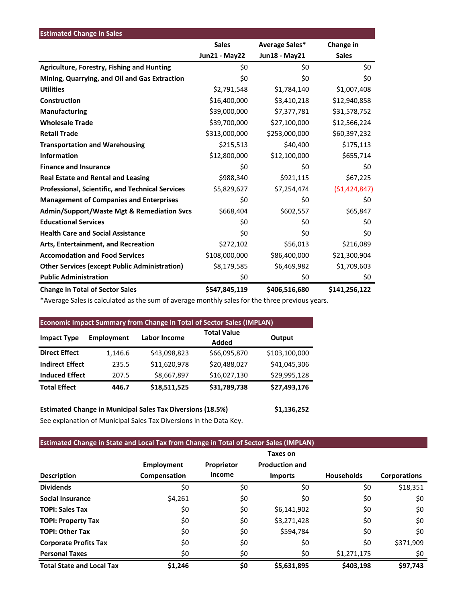| <b>Estimated Change in Sales</b>                      |               |                |                |
|-------------------------------------------------------|---------------|----------------|----------------|
|                                                       | <b>Sales</b>  | Average Sales* | Change in      |
|                                                       | Jun21 - May22 | Jun18 - May21  | <b>Sales</b>   |
| <b>Agriculture, Forestry, Fishing and Hunting</b>     | \$0           | \$0            | \$0            |
| Mining, Quarrying, and Oil and Gas Extraction         | \$0           | \$0            | \$0            |
| <b>Utilities</b>                                      | \$2,791,548   | \$1,784,140    | \$1,007,408    |
| Construction                                          | \$16,400,000  | \$3,410,218    | \$12,940,858   |
| <b>Manufacturing</b>                                  | \$39,000,000  | \$7,377,781    | \$31,578,752   |
| <b>Wholesale Trade</b>                                | \$39,700,000  | \$27,100,000   | \$12,566,224   |
| <b>Retail Trade</b>                                   | \$313,000,000 | \$253,000,000  | \$60,397,232   |
| <b>Transportation and Warehousing</b>                 | \$215,513     | \$40,400       | \$175,113      |
| <b>Information</b>                                    | \$12,800,000  | \$12,100,000   | \$655,714      |
| <b>Finance and Insurance</b>                          | \$0           | \$0            | \$0            |
| <b>Real Estate and Rental and Leasing</b>             | \$988,340     | \$921,115      | \$67,225       |
| Professional, Scientific, and Technical Services      | \$5,829,627   | \$7,254,474    | (51, 424, 847) |
| <b>Management of Companies and Enterprises</b>        | \$0           | \$0            | \$0            |
| <b>Admin/Support/Waste Mgt &amp; Remediation Svcs</b> | \$668,404     | \$602,557      | \$65,847       |
| <b>Educational Services</b>                           | \$0           | \$0            | \$0            |
| <b>Health Care and Social Assistance</b>              | \$0           | \$0            | \$0            |
| Arts, Entertainment, and Recreation                   | \$272,102     | \$56,013       | \$216,089      |
| <b>Accomodation and Food Services</b>                 | \$108,000,000 | \$86,400,000   | \$21,300,904   |
| <b>Other Services (except Public Administration)</b>  | \$8,179,585   | \$6,469,982    | \$1,709,603    |
| <b>Public Administration</b>                          | \$0           | \$0            | \$0            |
| <b>Change in Total of Sector Sales</b>                | \$547,845,119 | \$406,516,680  | \$141,256,122  |

\*Average Sales is calculated as the sum of average monthly sales for the three previous years.

| <b>Economic Impact Summary from Change in Total of Sector Sales (IMPLAN)</b> |                   |              |                    |               |  |  |  |
|------------------------------------------------------------------------------|-------------------|--------------|--------------------|---------------|--|--|--|
|                                                                              | <b>Employment</b> | Labor Income | <b>Total Value</b> |               |  |  |  |
| <b>Impact Type</b>                                                           |                   |              | Added              | Output        |  |  |  |
| <b>Direct Effect</b>                                                         | 1,146.6           | \$43,098,823 | \$66,095,870       | \$103,100,000 |  |  |  |
| <b>Indirect Effect</b>                                                       | 235.5             | \$11,620,978 | \$20,488,027       | \$41,045,306  |  |  |  |
| <b>Induced Effect</b>                                                        | 207.5             | \$8,667,897  | \$16,027,130       | \$29,995,128  |  |  |  |
| <b>Total Effect</b>                                                          | 446.7             | \$18,511,525 | \$31,789,738       | \$27,493,176  |  |  |  |

**Estimated Change in Municipal Sales Tax Diversions (18.5%) \$1,136,252** See explanation of Municipal Sales Tax Diversions in the Data Key.

## **Estimated Change in State and Local Tax from Change in Total of Sector Sales (IMPLAN)**

|                                  |                   |               | Taxes on              |                   |                     |
|----------------------------------|-------------------|---------------|-----------------------|-------------------|---------------------|
|                                  | <b>Employment</b> | Proprietor    | <b>Production and</b> |                   |                     |
| <b>Description</b>               | Compensation      | <b>Income</b> | <b>Imports</b>        | <b>Households</b> | <b>Corporations</b> |
| <b>Dividends</b>                 | \$0               | \$0           | \$0                   | \$0               | \$18,351            |
| <b>Social Insurance</b>          | \$4,261           | \$0           | \$0                   | \$0               | \$0                 |
| <b>TOPI: Sales Tax</b>           | \$0               | \$0           | \$6,141,902           | \$0               | \$0                 |
| <b>TOPI: Property Tax</b>        | \$0               | \$0           | \$3,271,428           | \$0               | \$0                 |
| <b>TOPI: Other Tax</b>           | \$0               | \$0           | \$594,784             | \$0               | \$0                 |
| <b>Corporate Profits Tax</b>     | \$0               | \$0           | \$0                   | \$0               | \$371,909           |
| <b>Personal Taxes</b>            | \$0               | \$0           | \$0                   | \$1,271,175       | \$0                 |
| <b>Total State and Local Tax</b> | \$1,246           | \$0           | \$5,631,895           | \$403.198         | \$97,743            |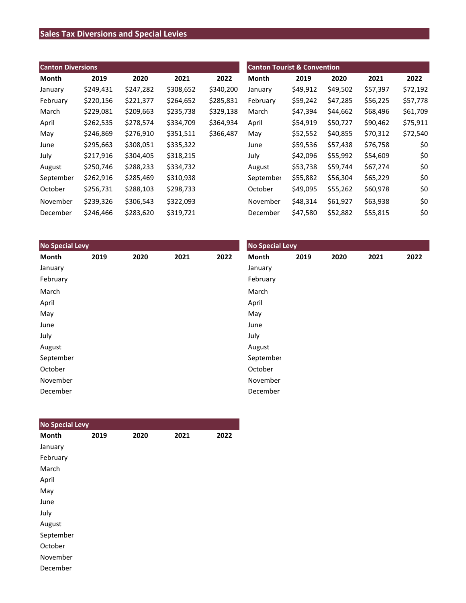# **Sales Tax Diversions and Special Levies**

| <b>Canton Diversions</b> |           |           |           |           | <b>Canton Tourist &amp; Convention</b> |          |          |          |          |  |
|--------------------------|-----------|-----------|-----------|-----------|----------------------------------------|----------|----------|----------|----------|--|
| Month                    | 2019      | 2020      | 2021      | 2022      | Month                                  | 2019     | 2020     | 2021     | 2022     |  |
| January                  | \$249,431 | \$247,282 | \$308,652 | \$340,200 | January                                | \$49,912 | \$49,502 | \$57,397 | \$72,192 |  |
| February                 | \$220,156 | \$221,377 | \$264,652 | \$285,831 | February                               | \$59,242 | \$47,285 | \$56,225 | \$57,778 |  |
| March                    | \$229,081 | \$209,663 | \$235,738 | \$329,138 | March                                  | \$47,394 | \$44,662 | \$68,496 | \$61,709 |  |
| April                    | \$262,535 | \$278,574 | \$334,709 | \$364,934 | April                                  | \$54,919 | \$50,727 | \$90,462 | \$75,911 |  |
| May                      | \$246,869 | \$276,910 | \$351,511 | \$366,487 | May                                    | \$52,552 | \$40,855 | \$70,312 | \$72,540 |  |
| June                     | \$295,663 | \$308,051 | \$335,322 |           | June                                   | \$59,536 | \$57,438 | \$76,758 | \$0      |  |
| July                     | \$217,916 | \$304,405 | \$318,215 |           | July                                   | \$42,096 | \$55,992 | \$54,609 | \$0      |  |
| August                   | \$250,746 | \$288,233 | \$334,732 |           | August                                 | \$53,738 | \$59,744 | \$67,274 | \$0      |  |
| September                | \$262,916 | \$285,469 | \$310,938 |           | September                              | \$55,882 | \$56,304 | \$65,229 | \$0      |  |
| October                  | \$256,731 | \$288,103 | \$298,733 |           | October                                | \$49,095 | \$55,262 | \$60,978 | \$0      |  |
| November                 | \$239,326 | \$306,543 | \$322,093 |           | November                               | \$48,314 | \$61,927 | \$63,938 | \$0      |  |
| December                 | \$246,466 | \$283,620 | \$319,721 |           | December                               | \$47,580 | \$52,882 | \$55,815 | \$0      |  |

| <b>No Special Levy</b> |      |      |      |      | <b>No Special Levy</b> |      |      |      |      |  |
|------------------------|------|------|------|------|------------------------|------|------|------|------|--|
| Month                  | 2019 | 2020 | 2021 | 2022 | Month                  | 2019 | 2020 | 2021 | 2022 |  |
| January                |      |      |      |      | January                |      |      |      |      |  |
| February               |      |      |      |      | February               |      |      |      |      |  |
| March                  |      |      |      |      | March                  |      |      |      |      |  |
| April                  |      |      |      |      | April                  |      |      |      |      |  |
| May                    |      |      |      |      | May                    |      |      |      |      |  |
| June                   |      |      |      |      | June                   |      |      |      |      |  |
| July                   |      |      |      |      | July                   |      |      |      |      |  |
| August                 |      |      |      |      | August                 |      |      |      |      |  |
| September              |      |      |      |      | September              |      |      |      |      |  |
| October                |      |      |      |      | October                |      |      |      |      |  |
| November               |      |      |      |      | November               |      |      |      |      |  |
| December               |      |      |      |      | December               |      |      |      |      |  |

| <b>No Special Levy</b> |      |      |      |      |
|------------------------|------|------|------|------|
| Month                  | 2019 | 2020 | 2021 | 2022 |
| January                |      |      |      |      |
| February               |      |      |      |      |
| March                  |      |      |      |      |
| April                  |      |      |      |      |
| May                    |      |      |      |      |
| June                   |      |      |      |      |
| July                   |      |      |      |      |
| August                 |      |      |      |      |
| September              |      |      |      |      |
| October                |      |      |      |      |
| November               |      |      |      |      |
| December               |      |      |      |      |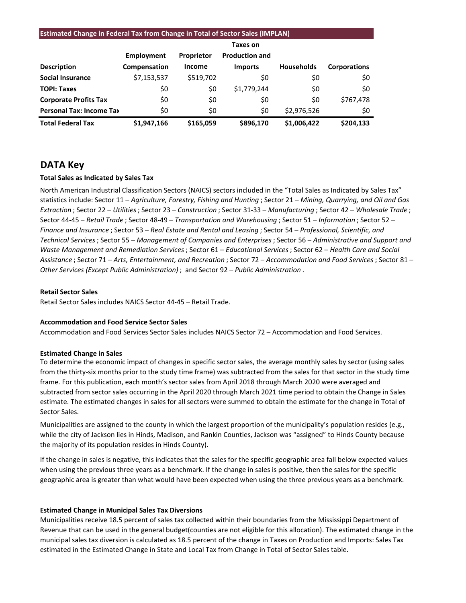#### **Estimated Change in Federal Tax from Change in Total of Sector Sales (IMPLAN)**

|                                 |              |                   | Taxes on              |                   |                     |
|---------------------------------|--------------|-------------------|-----------------------|-------------------|---------------------|
|                                 | Employment   | <b>Proprietor</b> | <b>Production and</b> |                   |                     |
| <b>Description</b>              | Compensation | <b>Income</b>     | <b>Imports</b>        | <b>Households</b> | <b>Corporations</b> |
| <b>Social Insurance</b>         | \$7,153,537  | \$519,702         | \$0                   | \$0               | \$0                 |
| <b>TOPI: Taxes</b>              | \$0          | \$0               | \$1,779,244           | \$0               | \$0                 |
| <b>Corporate Profits Tax</b>    | \$0          | \$0               | \$0                   | \$0               | \$767,478           |
| <b>Personal Tax: Income Tax</b> | \$0          | \$0               | \$0                   | \$2,976,526       | \$0                 |
| <b>Total Federal Tax</b>        | \$1,947,166  | \$165,059         | \$896,170             | \$1,006,422       | \$204,133           |

## **DATA Key**

#### **Total Sales as Indicated by Sales Tax**

North American Industrial Classification Sectors (NAICS) sectors included in the "Total Sales as Indicated by Sales Tax" statistics include: Sector 11 – *Agriculture, Forestry, Fishing and Hunting* ; Sector 21 – *Mining, Quarrying, and Oil and Gas Extraction* ; Sector 22 – *Utilities*; Sector 23 – *Construction* ; Sector 31-33 – *Manufacturing* ; Sector 42 – *Wholesale Trade* ; Sector 44-45 – *Retail Trade* ; Sector 48-49 – *Transportation and Warehousing* ; Sector 51 – *Information* ; Sector 52 – *Finance and Insurance* ; Sector 53 – *Real Estate and Rental and Leasing* ; Sector 54 – *Professional, Scientific, and Technical Services*; Sector 55 – *Management of Companies and Enterprises* ; Sector 56 – *Administrative and Support and Waste Management and Remediation Services* ; Sector 61 – *Educational Services*; Sector 62 – *Health Care and Social Assistance* ; Sector 71 – *Arts, Entertainment, and Recreation* ; Sector 72 – *Accommodation and Food Services* ; Sector 81 – *Other Services (Except Public Administration)* ; and Sector 92 – *Public Administration* .

#### **Retail Sector Sales**

Retail Sector Sales includes NAICS Sector 44-45 – Retail Trade.

#### **Accommodation and Food Service Sector Sales**

Accommodation and Food Services Sector Sales includes NAICS Sector 72 – Accommodation and Food Services.

#### **Estimated Change in Sales**

To determine the economic impact of changes in specific sector sales, the average monthly sales by sector (using sales from the thirty-six months prior to the study time frame) was subtracted from the sales for that sector in the study time frame. For this publication, each month's sector sales from April 2018 through March 2020 were averaged and subtracted from sector sales occurring in the April 2020 through March 2021 time period to obtain the Change in Sales estimate. The estimated changes in sales for all sectors were summed to obtain the estimate for the change in Total of Sector Sales.

Municipalities are assigned to the county in which the largest proportion of the municipality's population resides (e.g., while the city of Jackson lies in Hinds, Madison, and Rankin Counties, Jackson was "assigned" to Hinds County because the majority of its population resides in Hinds County).

If the change in sales is negative, this indicates that the sales for the specific geographic area fall below expected values when using the previous three years as a benchmark. If the change in sales is positive, then the sales for the specific geographic area is greater than what would have been expected when using the three previous years as a benchmark.

#### **Estimated Change in Municipal Sales Tax Diversions**

Municipalities receive 18.5 percent of sales tax collected within their boundaries from the Mississippi Department of Revenue that can be used in the general budget(counties are not eligible for this allocation). The estimated change in the municipal sales tax diversion is calculated as 18.5 percent of the change in Taxes on Production and Imports: Sales Tax estimated in the Estimated Change in State and Local Tax from Change in Total of Sector Sales table.